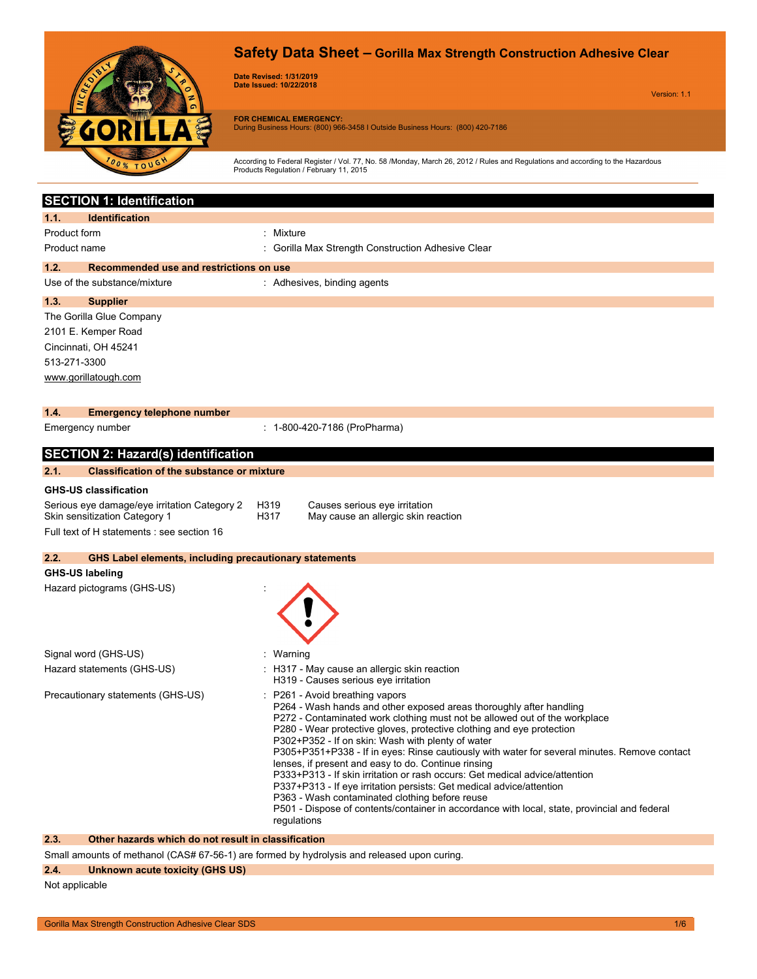

## **Safety Data Sheet – Gorilla Max Strength Construction Adhesive Clear**

**Date Revised: 1/31/2019 Date Issued: 10/22/2018**

Version: 1.1

**FOR CHEMICAL EMERGENCY:** During Business Hours: (800) 966-3458 I Outside Business Hours: (800) 420-7186

According to Federal Register / Vol. 77, No. 58 /Monday, March 26, 2012 / Rules and Regulations and according to the Hazardous Products Regulation / February 11, 2015

|                        | <b>SECTION 1: Identification</b>                                                                                                                    |                                                                                                                                                   |  |  |
|------------------------|-----------------------------------------------------------------------------------------------------------------------------------------------------|---------------------------------------------------------------------------------------------------------------------------------------------------|--|--|
| 1.1.                   | <b>Identification</b>                                                                                                                               |                                                                                                                                                   |  |  |
| Product form           |                                                                                                                                                     | : Mixture                                                                                                                                         |  |  |
| Product name           |                                                                                                                                                     | Gorilla Max Strength Construction Adhesive Clear                                                                                                  |  |  |
| 1.2.                   | Recommended use and restrictions on use                                                                                                             |                                                                                                                                                   |  |  |
|                        | Use of the substance/mixture                                                                                                                        | : Adhesives, binding agents                                                                                                                       |  |  |
| 1.3.                   | <b>Supplier</b>                                                                                                                                     |                                                                                                                                                   |  |  |
|                        | The Gorilla Glue Company                                                                                                                            |                                                                                                                                                   |  |  |
|                        | 2101 E. Kemper Road                                                                                                                                 |                                                                                                                                                   |  |  |
|                        | Cincinnati, OH 45241                                                                                                                                |                                                                                                                                                   |  |  |
| 513-271-3300           |                                                                                                                                                     |                                                                                                                                                   |  |  |
|                        | www.gorillatough.com                                                                                                                                |                                                                                                                                                   |  |  |
|                        |                                                                                                                                                     |                                                                                                                                                   |  |  |
| 1.4.                   | <b>Emergency telephone number</b>                                                                                                                   |                                                                                                                                                   |  |  |
|                        | Emergency number                                                                                                                                    | : 1-800-420-7186 (ProPharma)                                                                                                                      |  |  |
|                        | <b>SECTION 2: Hazard(s) identification</b>                                                                                                          |                                                                                                                                                   |  |  |
| 2.1.                   | <b>Classification of the substance or mixture</b>                                                                                                   |                                                                                                                                                   |  |  |
|                        | <b>GHS-US classification</b>                                                                                                                        |                                                                                                                                                   |  |  |
|                        | Serious eye damage/eye irritation Category 2                                                                                                        | H319<br>Causes serious eye irritation                                                                                                             |  |  |
|                        | Skin sensitization Category 1                                                                                                                       | H317<br>May cause an allergic skin reaction                                                                                                       |  |  |
|                        | Full text of H statements : see section 16                                                                                                          |                                                                                                                                                   |  |  |
| 2.2.                   | <b>GHS Label elements, including precautionary statements</b>                                                                                       |                                                                                                                                                   |  |  |
| <b>GHS-US labeling</b> |                                                                                                                                                     |                                                                                                                                                   |  |  |
|                        | Hazard pictograms (GHS-US)                                                                                                                          |                                                                                                                                                   |  |  |
|                        |                                                                                                                                                     |                                                                                                                                                   |  |  |
|                        |                                                                                                                                                     |                                                                                                                                                   |  |  |
|                        |                                                                                                                                                     |                                                                                                                                                   |  |  |
|                        | Signal word (GHS-US)                                                                                                                                | : Warning                                                                                                                                         |  |  |
|                        | Hazard statements (GHS-US)                                                                                                                          | : H317 - May cause an allergic skin reaction                                                                                                      |  |  |
|                        |                                                                                                                                                     | H319 - Causes serious eye irritation                                                                                                              |  |  |
|                        | Precautionary statements (GHS-US)                                                                                                                   | : P261 - Avoid breathing vapors<br>P264 - Wash hands and other exposed areas thoroughly after handling                                            |  |  |
|                        |                                                                                                                                                     | P272 - Contaminated work clothing must not be allowed out of the workplace                                                                        |  |  |
|                        |                                                                                                                                                     | P280 - Wear protective gloves, protective clothing and eye protection                                                                             |  |  |
|                        |                                                                                                                                                     | P302+P352 - If on skin: Wash with plenty of water<br>P305+P351+P338 - If in eyes: Rinse cautiously with water for several minutes. Remove contact |  |  |
|                        |                                                                                                                                                     | lenses, if present and easy to do. Continue rinsing                                                                                               |  |  |
|                        | P333+P313 - If skin irritation or rash occurs: Get medical advice/attention<br>P337+P313 - If eye irritation persists: Get medical advice/attention |                                                                                                                                                   |  |  |
|                        |                                                                                                                                                     | P363 - Wash contaminated clothing before reuse                                                                                                    |  |  |
|                        |                                                                                                                                                     | P501 - Dispose of contents/container in accordance with local, state, provincial and federal                                                      |  |  |
|                        |                                                                                                                                                     | regulations                                                                                                                                       |  |  |

### **2.3. Other hazards which do not result in classification**

Small amounts of methanol (CAS# 67-56-1) are formed by hydrolysis and released upon curing.

### **2.4. Unknown acute toxicity (GHS US)**

Not applicable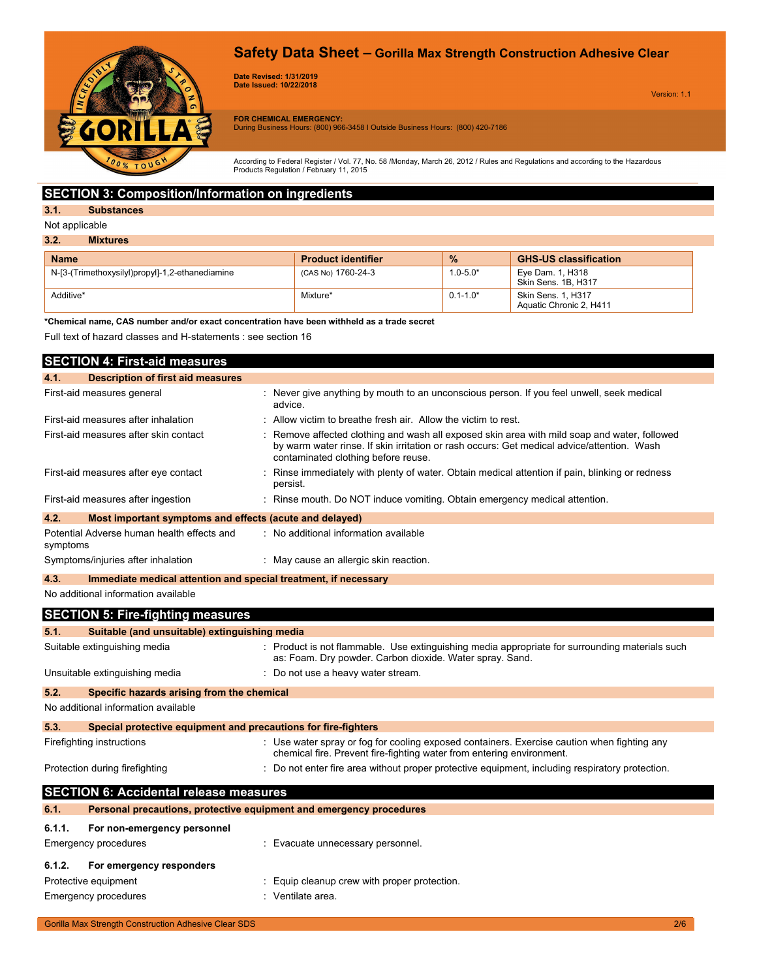# **Safety Data Sheet – Gorilla Max Strength Construction Adhesive Clear**



**Date Revised: 1/31/2019 Date Issued: 10/22/2018**

Version: 1.1

**FOR CHEMICAL EMERGENCY:** During Business Hours: (800) 966-3458 I Outside Business Hours: (800) 420-7186

According to Federal Register / Vol. 77, No. 58 /Monday, March 26, 2012 / Rules and Regulations and according to the Hazardous Products Regulation / February 11, 2015

### **SECTION 3: Composition/Information on ingredients**

### **3.1. Substances**

Not applicable

| <b>Name</b>                                     | <b>Product identifier</b> | $\frac{9}{6}$ | <b>GHS-US classification</b>                  |
|-------------------------------------------------|---------------------------|---------------|-----------------------------------------------|
| N-[3-(Trimethoxysilyl)propyl]-1,2-ethanediamine | $'$ (CAS No) 1760-24-3    | $1.0 - 5.0*$  | Eye Dam. 1, H318<br>Skin Sens, 1B, H317       |
| Additive*                                       | Mixture*                  | $0.1 - 1.0*$  | Skin Sens. 1. H317<br>Aquatic Chronic 2, H411 |

**\*Chemical name, CAS number and/or exact concentration have been withheld as a trade secret**

Full text of hazard classes and H-statements : see section 16

|                                       | <b>SECTION 4: First-aid measures</b>                            |                                                                                                                                                                                                                                 |  |
|---------------------------------------|-----------------------------------------------------------------|---------------------------------------------------------------------------------------------------------------------------------------------------------------------------------------------------------------------------------|--|
| 4.1.                                  | <b>Description of first aid measures</b>                        |                                                                                                                                                                                                                                 |  |
| First-aid measures general            |                                                                 | : Never give anything by mouth to an unconscious person. If you feel unwell, seek medical<br>advice.                                                                                                                            |  |
|                                       | First-aid measures after inhalation                             | : Allow victim to breathe fresh air. Allow the victim to rest.                                                                                                                                                                  |  |
| First-aid measures after skin contact |                                                                 | Remove affected clothing and wash all exposed skin area with mild soap and water, followed<br>by warm water rinse. If skin irritation or rash occurs: Get medical advice/attention. Wash<br>contaminated clothing before reuse. |  |
| First-aid measures after eye contact  |                                                                 | Rinse immediately with plenty of water. Obtain medical attention if pain, blinking or redness<br>persist.                                                                                                                       |  |
|                                       | First-aid measures after ingestion                              | : Rinse mouth. Do NOT induce vomiting. Obtain emergency medical attention.                                                                                                                                                      |  |
| 4.2.                                  | Most important symptoms and effects (acute and delayed)         |                                                                                                                                                                                                                                 |  |
| symptoms                              | Potential Adverse human health effects and                      | : No additional information available                                                                                                                                                                                           |  |
|                                       | Symptoms/injuries after inhalation                              | : May cause an allergic skin reaction.                                                                                                                                                                                          |  |
| 4.3.                                  | Immediate medical attention and special treatment, if necessary |                                                                                                                                                                                                                                 |  |
|                                       | No additional information available                             |                                                                                                                                                                                                                                 |  |
|                                       | <b>SECTION 5: Fire-fighting measures</b>                        |                                                                                                                                                                                                                                 |  |
| 5.1.                                  | Suitable (and unsuitable) extinguishing media                   |                                                                                                                                                                                                                                 |  |
| Suitable extinguishing media          |                                                                 | : Product is not flammable. Use extinguishing media appropriate for surrounding materials such<br>as: Foam. Dry powder. Carbon dioxide. Water spray. Sand.                                                                      |  |
|                                       | Unsuitable extinguishing media                                  | : Do not use a heavy water stream.                                                                                                                                                                                              |  |
| 5.2.                                  | Specific hazards arising from the chemical                      |                                                                                                                                                                                                                                 |  |
|                                       | No additional information available                             |                                                                                                                                                                                                                                 |  |
| 5.3.                                  | Special protective equipment and precautions for fire-fighters  |                                                                                                                                                                                                                                 |  |
| Firefighting instructions             |                                                                 | : Use water spray or fog for cooling exposed containers. Exercise caution when fighting any<br>chemical fire. Prevent fire-fighting water from entering environment.                                                            |  |
|                                       | Protection during firefighting                                  | : Do not enter fire area without proper protective equipment, including respiratory protection.                                                                                                                                 |  |
|                                       | <b>SECTION 6: Accidental release measures</b>                   |                                                                                                                                                                                                                                 |  |
| 6.1.                                  |                                                                 | Personal precautions, protective equipment and emergency procedures                                                                                                                                                             |  |
| 6.1.1.                                | For non-emergency personnel                                     |                                                                                                                                                                                                                                 |  |
|                                       | <b>Emergency procedures</b>                                     | : Evacuate unnecessary personnel.                                                                                                                                                                                               |  |
| 6.1.2.                                | For emergency responders                                        |                                                                                                                                                                                                                                 |  |

Emergency procedures in the settle state of the Senate area.

Protective equipment **in the case of the COV** control in Equip cleanup crew with proper protection.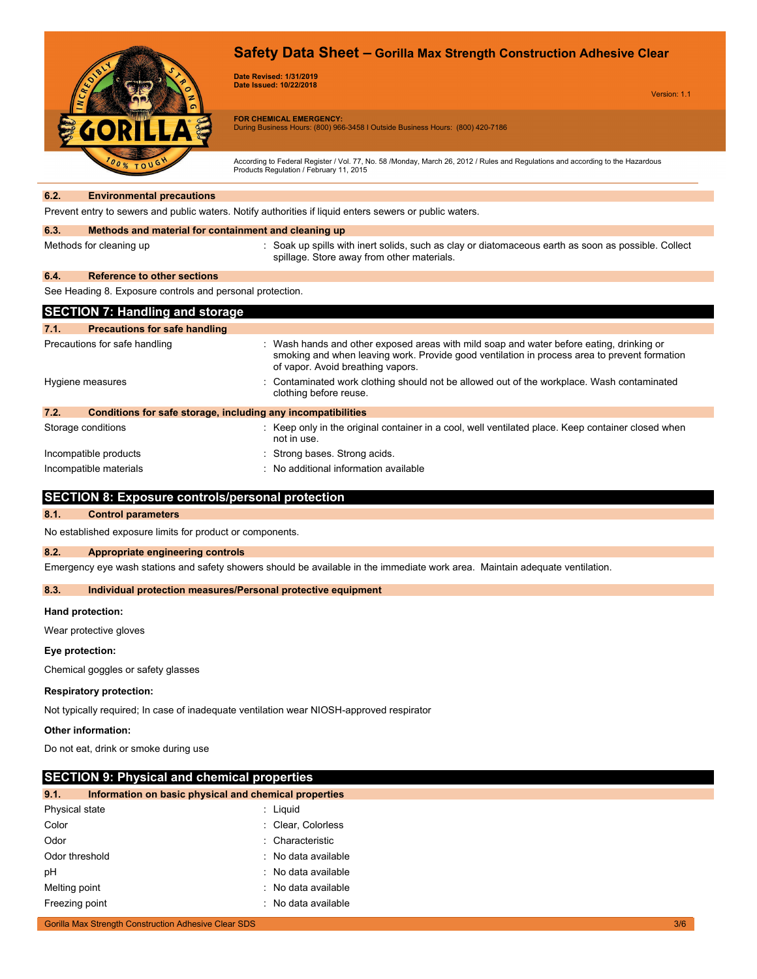

**Date Revised: 1/31/2019 Date Issued: 10/22/2018**

Version: 1.1

**FOR CHEMICAL EMERGENCY:** During Business Hours: (800) 966-3458 I Outside Business Hours: (800) 420-7186

According to Federal Register / Vol. 77, No. 58 /Monday, March 26, 2012 / Rules and Regulations and according to the Hazardous Products Regulation / February 11, 2015

#### **6.2. Environmental precautions**

Prevent entry to sewers and public waters. Notify authorities if liquid enters sewers or public waters.

#### **6.3. Methods and material for containment and cleaning up**

Methods for cleaning up **intert in the spills** with inert solids, such as clay or diatomaceous earth as soon as possible. Collect spillage. Store away from other materials.

#### **6.4. Reference to other sections**

See Heading 8. Exposure controls and personal protection.

| <b>SECTION 7: Handling and storage</b>                               |                                                                                                                                                                                                                               |  |  |
|----------------------------------------------------------------------|-------------------------------------------------------------------------------------------------------------------------------------------------------------------------------------------------------------------------------|--|--|
| 7.1.<br><b>Precautions for safe handling</b>                         |                                                                                                                                                                                                                               |  |  |
| Precautions for safe handling                                        | : Wash hands and other exposed areas with mild soap and water before eating, drinking or<br>smoking and when leaving work. Provide good ventilation in process area to prevent formation<br>of vapor. Avoid breathing vapors. |  |  |
| Hygiene measures                                                     | : Contaminated work clothing should not be allowed out of the workplace. Wash contaminated<br>clothing before reuse.                                                                                                          |  |  |
| 7.2.<br>Conditions for safe storage, including any incompatibilities |                                                                                                                                                                                                                               |  |  |
| Storage conditions                                                   | : Keep only in the original container in a cool, well ventilated place. Keep container closed when<br>not in use.                                                                                                             |  |  |
| Incompatible products                                                | : Strong bases. Strong acids.                                                                                                                                                                                                 |  |  |
| Incompatible materials                                               | : No additional information available                                                                                                                                                                                         |  |  |

### **SECTION 8: Exposure controls/personal protection**

#### **8.1. Control parameters**

No established exposure limits for product or components.

#### **8.2. Appropriate engineering controls**

Emergency eye wash stations and safety showers should be available in the immediate work area. Maintain adequate ventilation.

#### **8.3. Individual protection measures/Personal protective equipment**

#### **Hand protection:**

Wear protective gloves

#### **Eye protection:**

Chemical goggles or safety glasses

#### **Respiratory protection:**

Not typically required; In case of inadequate ventilation wear NIOSH-approved respirator

#### **Other information:**

Do not eat, drink or smoke during use

### **SECTION 9: Physical and chemical properties**

| 9.1.           | Information on basic physical and chemical properties |                     |
|----------------|-------------------------------------------------------|---------------------|
| Physical state |                                                       | : Liquid            |
| Color          |                                                       | : Clear, Colorless  |
| Odor           |                                                       | : Characteristic    |
| Odor threshold |                                                       | : No data available |
| рH             |                                                       | : No data available |
| Melting point  |                                                       | : No data available |
| Freezing point |                                                       | : No data available |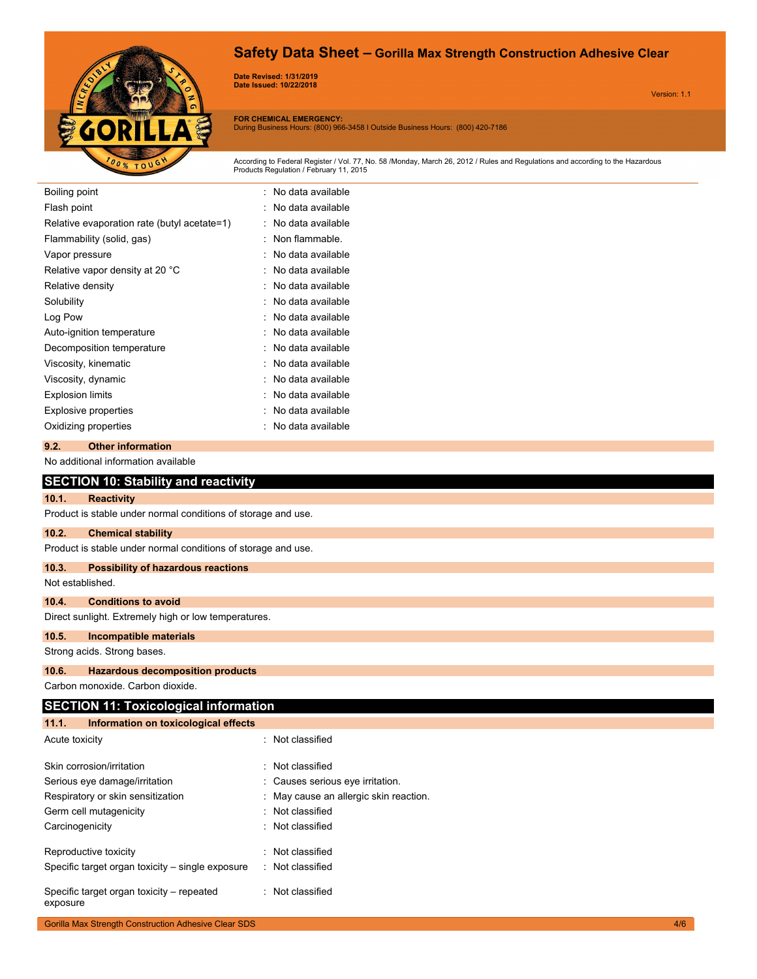# **Safety Data Sheet – Gorilla Max Strength Construction Adhesive Clear**



**Date Revised: 1/31/2019 Date Issued: 10/22/2018**

Version: 1.1

**FOR CHEMICAL EMERGENCY:** During Business Hours: (800) 966-3458 I Outside Business Hours: (800) 420-7186

According to Federal Register / Vol. 77, No. 58 /Monday, March 26, 2012 / Rules and Regulations and according to the Hazardous Products Regulation / February 11, 2015

| Boiling point                               | : No data available |
|---------------------------------------------|---------------------|
| Flash point                                 | No data available   |
| Relative evaporation rate (butyl acetate=1) | No data available   |
| Flammability (solid, gas)                   | Non flammable       |
| Vapor pressure                              | No data available   |
| Relative vapor density at 20 °C             | No data available   |
| Relative density                            | No data available   |
| Solubility                                  | No data available   |
| Log Pow                                     | No data available   |
| Auto-ignition temperature                   | No data available   |
| Decomposition temperature                   | No data available   |
| Viscosity, kinematic                        | No data available   |
| Viscosity, dynamic                          | No data available   |
| <b>Explosion limits</b>                     | No data available   |
| <b>Explosive properties</b>                 | No data available   |
| Oxidizing properties                        | No data available   |
| <b>Other information</b><br>9.2.            |                     |

|                                                      | No additional information available                           |  |  |  |
|------------------------------------------------------|---------------------------------------------------------------|--|--|--|
|                                                      | <b>SECTION 10: Stability and reactivity</b>                   |  |  |  |
| 10.1.                                                | <b>Reactivity</b>                                             |  |  |  |
|                                                      | Product is stable under normal conditions of storage and use. |  |  |  |
| 10.2.                                                | <b>Chemical stability</b>                                     |  |  |  |
|                                                      | Product is stable under normal conditions of storage and use. |  |  |  |
| 10.3.                                                | <b>Possibility of hazardous reactions</b>                     |  |  |  |
| Not established.                                     |                                                               |  |  |  |
| 10.4.                                                | <b>Conditions to avoid</b>                                    |  |  |  |
| Direct sunlight. Extremely high or low temperatures. |                                                               |  |  |  |
| 10.5.                                                | Incompatible materials                                        |  |  |  |
|                                                      | Strong acids. Strong bases.                                   |  |  |  |
| 10.6.                                                | <b>Hazardous decomposition products</b>                       |  |  |  |
|                                                      | Carbon monoxide, Carbon dioxide.                              |  |  |  |
|                                                      | <b>SECTION 11: Toxicological information</b>                  |  |  |  |
| 11.1.                                                | Information on toxicological effects                          |  |  |  |

| Acute toxicity                                        | : Not classified                       |
|-------------------------------------------------------|----------------------------------------|
| Skin corrosion/irritation                             | Not classified                         |
| Serious eye damage/irritation                         | : Causes serious eye irritation.       |
| Respiratory or skin sensitization                     | : May cause an allergic skin reaction. |
| Germ cell mutagenicity                                | : Not classified                       |
| Carcinogenicity                                       | : Not classified                       |
| Reproductive toxicity                                 | : Not classified                       |
| Specific target organ toxicity – single exposure      | : Not classified                       |
| Specific target organ toxicity – repeated<br>exposure | : Not classified                       |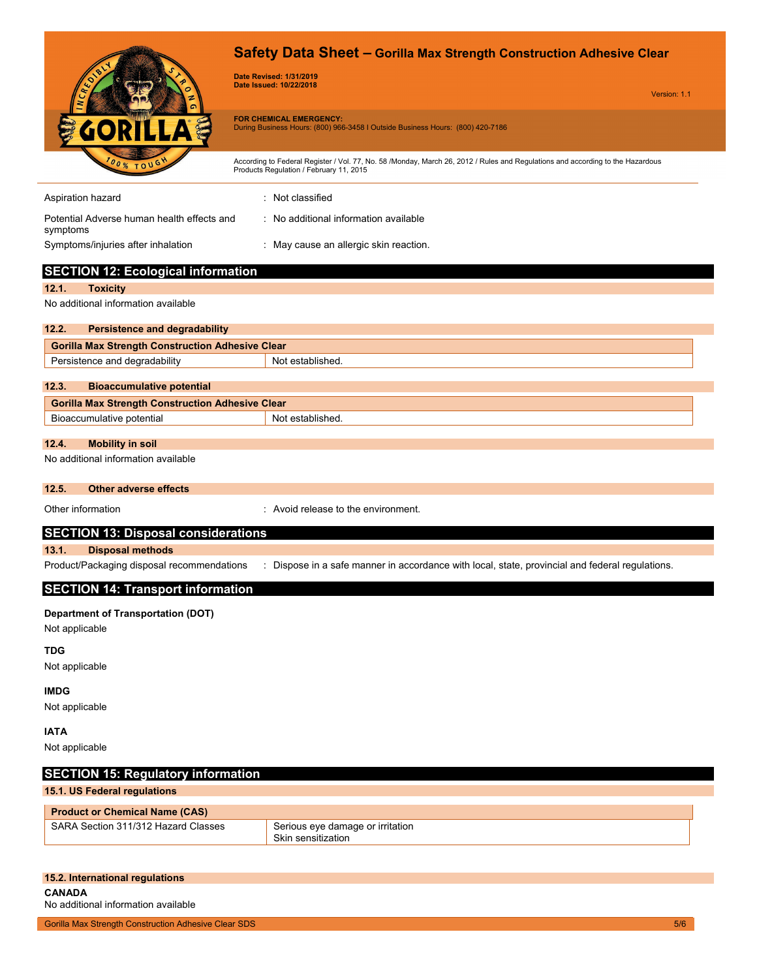|                                                                | Safety Data Sheet - Gorilla Max Strength Construction Adhesive Clear<br><b>Date Revised: 1/31/2019</b><br>Date Issued: 10/22/2018<br>Version: 1.1                         |  |  |
|----------------------------------------------------------------|---------------------------------------------------------------------------------------------------------------------------------------------------------------------------|--|--|
|                                                                | <b>FOR CHEMICAL EMERGENCY:</b><br>During Business Hours: (800) 966-3458   Outside Business Hours: (800) 420-7186                                                          |  |  |
| <b>00% TO</b>                                                  | According to Federal Register / Vol. 77, No. 58 /Monday, March 26, 2012 / Rules and Regulations and according to the Hazardous<br>Products Regulation / February 11, 2015 |  |  |
| Aspiration hazard                                              | : Not classified                                                                                                                                                          |  |  |
| Potential Adverse human health effects and<br>symptoms         | : No additional information available                                                                                                                                     |  |  |
| Symptoms/injuries after inhalation                             | : May cause an allergic skin reaction.                                                                                                                                    |  |  |
| <b>SECTION 12: Ecological information</b>                      |                                                                                                                                                                           |  |  |
| 12.1.<br><b>Toxicity</b>                                       |                                                                                                                                                                           |  |  |
| No additional information available                            |                                                                                                                                                                           |  |  |
| 12.2.<br><b>Persistence and degradability</b>                  |                                                                                                                                                                           |  |  |
| <b>Gorilla Max Strength Construction Adhesive Clear</b>        |                                                                                                                                                                           |  |  |
| Persistence and degradability                                  | Not established.                                                                                                                                                          |  |  |
| 12.3.<br><b>Bioaccumulative potential</b>                      |                                                                                                                                                                           |  |  |
| <b>Gorilla Max Strength Construction Adhesive Clear</b>        |                                                                                                                                                                           |  |  |
| Bioaccumulative potential                                      | Not established.                                                                                                                                                          |  |  |
| 12.4.                                                          |                                                                                                                                                                           |  |  |
| <b>Mobility in soil</b><br>No additional information available |                                                                                                                                                                           |  |  |
| <b>Other adverse effects</b><br>12.5.                          |                                                                                                                                                                           |  |  |
| Other information                                              | : Avoid release to the environment.                                                                                                                                       |  |  |
| <b>SECTION 13: Disposal considerations</b>                     |                                                                                                                                                                           |  |  |
| 13.1.<br><b>Disposal methods</b>                               |                                                                                                                                                                           |  |  |
| Product/Packaging disposal recommendations                     | : Dispose in a safe manner in accordance with local, state, provincial and federal regulations.                                                                           |  |  |
| <b>SECTION 14: Transport information</b>                       |                                                                                                                                                                           |  |  |
| <b>Department of Transportation (DOT)</b><br>Not applicable    |                                                                                                                                                                           |  |  |
| <b>TDG</b><br>Not applicable                                   |                                                                                                                                                                           |  |  |
| <b>IMDG</b><br>Not applicable                                  |                                                                                                                                                                           |  |  |
| <b>IATA</b><br>Not applicable                                  |                                                                                                                                                                           |  |  |
| <b>SECTION 15: Regulatory information</b>                      |                                                                                                                                                                           |  |  |
| 15.1. US Federal regulations                                   |                                                                                                                                                                           |  |  |
| <b>Product or Chemical Name (CAS)</b>                          |                                                                                                                                                                           |  |  |
| SARA Section 311/312 Hazard Classes                            | Serious eye damage or irritation<br>Skin sensitization                                                                                                                    |  |  |
|                                                                |                                                                                                                                                                           |  |  |

| 15.2. International regulations |  |
|---------------------------------|--|
| CANADA                          |  |

No additional information available